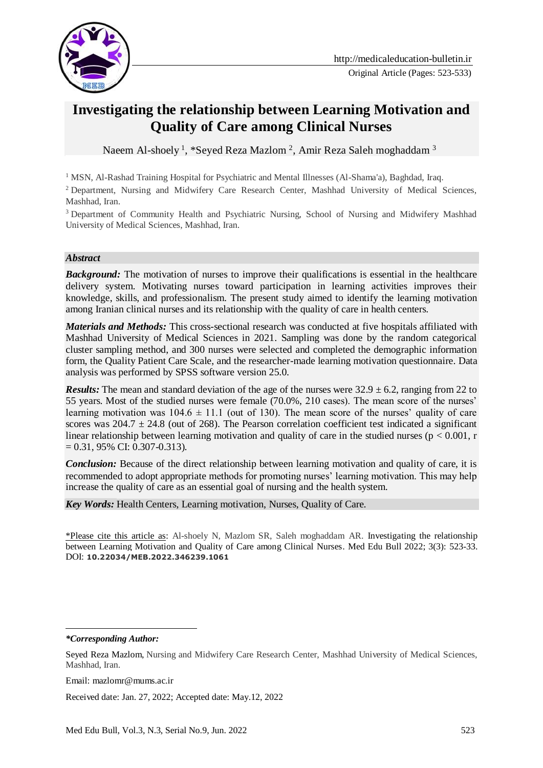

# **Investigating the relationship between Learning Motivation and Quality of Care among Clinical Nurses**

Naeem Al-shoely <sup>1</sup>, \*Seyed Reza Mazlom <sup>2</sup>, Amir Reza Saleh moghaddam <sup>3</sup>

<sup>1</sup> MSN, Al-Rashad Training Hospital for Psychiatric and Mental Illnesses (Al-Shama'a), Baghdad, Iraq.

<sup>2</sup> Department, Nursing and Midwifery Care Research Center, Mashhad University of Medical Sciences, Mashhad, Iran.

<sup>3</sup> Department of Community Health and Psychiatric Nursing, School of Nursing and Midwifery Mashhad University of Medical Sciences, Mashhad, Iran.

#### *Abstract*

**Background:** The motivation of nurses to improve their qualifications is essential in the healthcare delivery system. Motivating nurses toward participation in learning activities improves their knowledge, skills, and professionalism. The present study aimed to identify the learning motivation among Iranian clinical nurses and its relationship with the quality of care in health centers.

*Materials and Methods:* This cross-sectional research was conducted at five hospitals affiliated with Mashhad University of Medical Sciences in 2021. Sampling was done by the random categorical cluster sampling method, and 300 nurses were selected and completed the demographic information form, the Quality Patient Care Scale, and the researcher-made learning motivation questionnaire. Data analysis was performed by SPSS software version 25.0.

*Results:* The mean and standard deviation of the age of the nurses were  $32.9 \pm 6.2$ , ranging from 22 to 55 years. Most of the studied nurses were female (70.0%, 210 cases). The mean score of the nurses' learning motivation was  $104.6 \pm 11.1$  (out of 130). The mean score of the nurses' quality of care scores was  $204.7 \pm 24.8$  (out of 268). The Pearson correlation coefficient test indicated a significant linear relationship between learning motivation and quality of care in the studied nurses ( $p < 0.001$ , r  $= 0.31, 95\% \text{ CI: } 0.307 - 0.313.$ 

*Conclusion:* Because of the direct relationship between learning motivation and quality of care, it is recommended to adopt appropriate methods for promoting nurses' learning motivation. This may help increase the quality of care as an essential goal of nursing and the health system.

*Key Words:* Health Centers, Learning motivation, Nurses, Quality of Care.

\*Please cite this article as: Al-shoely N, Mazlom SR, Saleh moghaddam AR. Investigating the relationship between Learning Motivation and Quality of Care among Clinical Nurses. Med Edu Bull 2022; 3(3): 523-33. DOI: **10.22034/MEB.2022.346239.1061**

*\*Corresponding Author:*

<u>.</u>

Email: mazlomr@mums.ac.ir

Received date: Jan. 27, 2022; Accepted date: May.12, 2022

Seyed Reza Mazlom, Nursing and Midwifery Care Research Center, Mashhad University of Medical Sciences, Mashhad, Iran.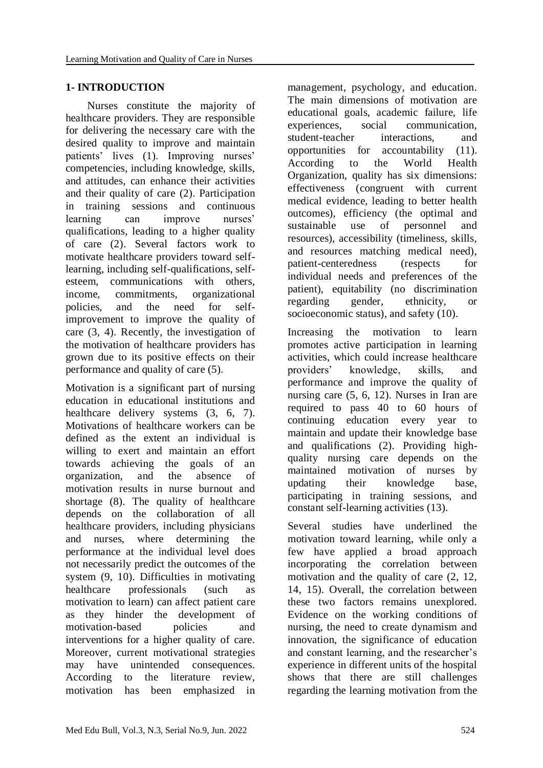# **1- INTRODUCTION**

 Nurses constitute the majority of healthcare providers. They are responsible for delivering the necessary care with the desired quality to improve and maintain patients' lives (1). Improving nurses' competencies, including knowledge, skills, and attitudes, can enhance their activities and their quality of care (2). Participation in training sessions and continuous learning can improve nurses' qualifications, leading to a higher quality of care (2). Several factors work to motivate healthcare providers toward selflearning, including self-qualifications, selfesteem, communications with others, income, commitments, organizational policies, and the need for selfimprovement to improve the quality of care (3, 4). Recently, the investigation of the motivation of healthcare providers has grown due to its positive effects on their performance and quality of care (5).

Motivation is a significant part of nursing education in educational institutions and healthcare delivery systems  $(3, 6, 7)$ . Motivations of healthcare workers can be defined as the extent an individual is willing to exert and maintain an effort towards achieving the goals of an organization, and the absence of motivation results in nurse burnout and shortage (8). The quality of healthcare depends on the collaboration of all healthcare providers, including physicians and nurses, where determining the performance at the individual level does not necessarily predict the outcomes of the system (9, 10). Difficulties in motivating healthcare professionals (such as motivation to learn) can affect patient care as they hinder the development of motivation-based policies and interventions for a higher quality of care. Moreover, current motivational strategies may have unintended consequences. According to the literature review, motivation has been emphasized in

management, psychology, and education. The main dimensions of motivation are educational goals, academic failure, life experiences, social communication, student-teacher interactions, and opportunities for accountability (11). According to the World Health Organization, quality has six dimensions: effectiveness (congruent with current medical evidence, leading to better health outcomes), efficiency (the optimal and sustainable use of personnel and resources), accessibility (timeliness, skills, and resources matching medical need), patient-centeredness (respects for individual needs and preferences of the patient), equitability (no discrimination regarding gender, ethnicity, or socioeconomic status), and safety (10).

Increasing the motivation to learn promotes active participation in learning activities, which could increase healthcare providers' knowledge, skills, and performance and improve the quality of nursing care (5, 6, 12). Nurses in Iran are required to pass 40 to 60 hours of continuing education every year to maintain and update their knowledge base and qualifications (2). Providing highquality nursing care depends on the maintained motivation of nurses by updating their knowledge base, participating in training sessions, and constant self-learning activities (13).

Several studies have underlined the motivation toward learning, while only a few have applied a broad approach incorporating the correlation between motivation and the quality of care (2, 12, 14, 15). Overall, the correlation between these two factors remains unexplored. Evidence on the working conditions of nursing, the need to create dynamism and innovation, the significance of education and constant learning, and the researcher's experience in different units of the hospital shows that there are still challenges regarding the learning motivation from the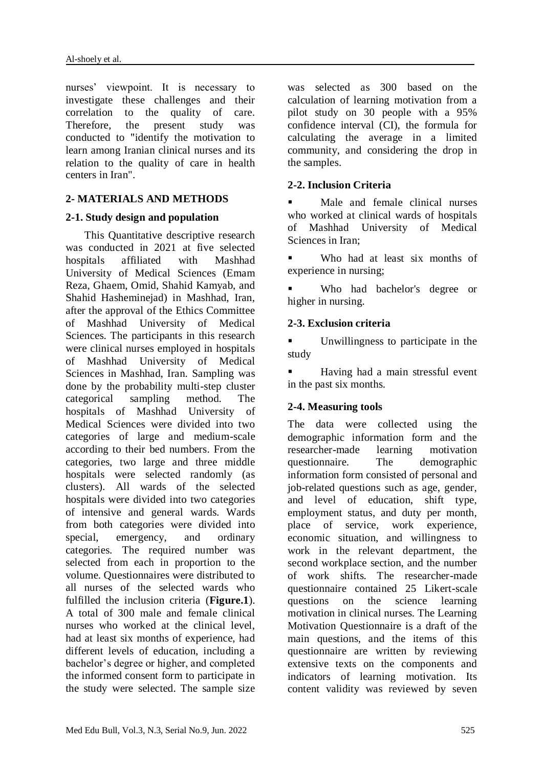nurses' viewpoint. It is necessary to investigate these challenges and their correlation to the quality of care. Therefore, the present study was conducted to "identify the motivation to learn among Iranian clinical nurses and its relation to the quality of care in health centers in Iran".

# **2- MATERIALS AND METHODS**

### **2-1. Study design and population**

 This Quantitative descriptive research was conducted in 2021 at five selected hospitals affiliated with Mashhad University of Medical Sciences (Emam Reza, Ghaem, Omid, Shahid Kamyab, and Shahid Hasheminejad) in Mashhad, Iran, after the approval of the Ethics Committee of Mashhad University of Medical Sciences. The participants in this research were clinical nurses employed in hospitals of Mashhad University of Medical Sciences in Mashhad, Iran. Sampling was done by the probability multi-step cluster categorical sampling method. The hospitals of Mashhad University of Medical Sciences were divided into two categories of large and medium-scale according to their bed numbers. From the categories, two large and three middle hospitals were selected randomly (as clusters). All wards of the selected hospitals were divided into two categories of intensive and general wards. Wards from both categories were divided into special, emergency, and ordinary categories. The required number was selected from each in proportion to the volume. Questionnaires were distributed to all nurses of the selected wards who fulfilled the inclusion criteria (**Figure.1**). A total of 300 male and female clinical nurses who worked at the clinical level, had at least six months of experience, had different levels of education, including a bachelor's degree or higher, and completed the informed consent form to participate in the study were selected. The sample size

was selected as 300 based on the calculation of learning motivation from a pilot study on 30 people with a 95% confidence interval (CI), the formula for calculating the average in a limited community, and considering the drop in the samples.

# **2-2. Inclusion Criteria**

 Male and female clinical nurses who worked at clinical wards of hospitals of Mashhad University of Medical Sciences in Iran;

 Who had at least six months of experience in nursing;

 Who had bachelor's degree or higher in nursing.

### **2-3. Exclusion criteria**

 Unwillingness to participate in the study

 Having had a main stressful event in the past six months.

# **2-4. Measuring tools**

The data were collected using the demographic information form and the researcher-made learning motivation questionnaire. The demographic information form consisted of personal and job-related questions such as age, gender, and level of education, shift type, employment status, and duty per month, place of service, work experience, economic situation, and willingness to work in the relevant department, the second workplace section, and the number of work shifts. The researcher-made questionnaire contained 25 Likert-scale questions on the science learning motivation in clinical nurses. The Learning Motivation Questionnaire is a draft of the main questions, and the items of this questionnaire are written by reviewing extensive texts on the components and indicators of learning motivation. Its content validity was reviewed by seven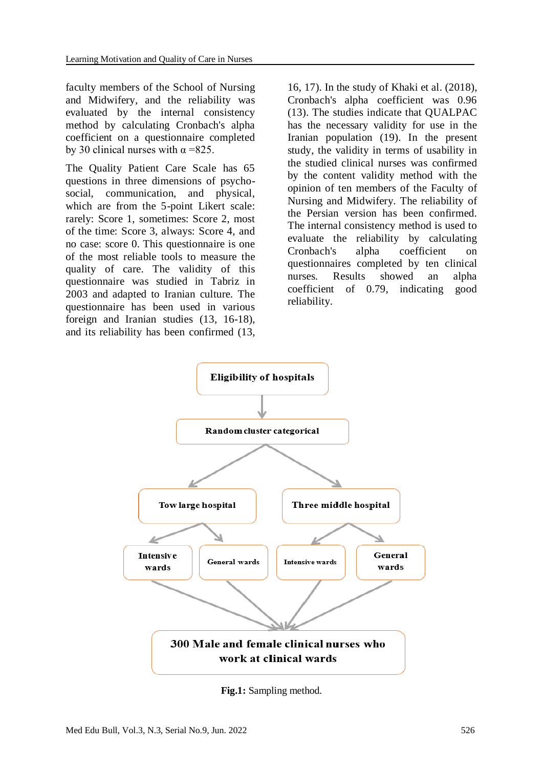faculty members of the School of Nursing and Midwifery, and the reliability was evaluated by the internal consistency method by calculating Cronbach's alpha coefficient on a questionnaire completed by 30 clinical nurses with  $\alpha$  =825.

The Quality Patient Care Scale has 65 questions in three dimensions of psychosocial, communication, and physical, which are from the 5-point Likert scale: rarely: Score 1, sometimes: Score 2, most of the time: Score 3, always: Score 4, and no case: score 0. This questionnaire is one of the most reliable tools to measure the quality of care. The validity of this questionnaire was studied in Tabriz in 2003 and adapted to Iranian culture. The questionnaire has been used in various foreign and Iranian studies (13, 16-18), and its reliability has been confirmed (13,

16, 17). In the study of Khaki et al. (2018), Cronbach's alpha coefficient was 0.96 (13). The studies indicate that QUALPAC has the necessary validity for use in the Iranian population (19). In the present study, the validity in terms of usability in the studied clinical nurses was confirmed by the content validity method with the opinion of ten members of the Faculty of Nursing and Midwifery. The reliability of the Persian version has been confirmed. The internal consistency method is used to evaluate the reliability by calculating Cronbach's alpha coefficient on questionnaires completed by ten clinical nurses. Results showed an alpha coefficient of 0.79, indicating good reliability.



**Fig.1:** Sampling method.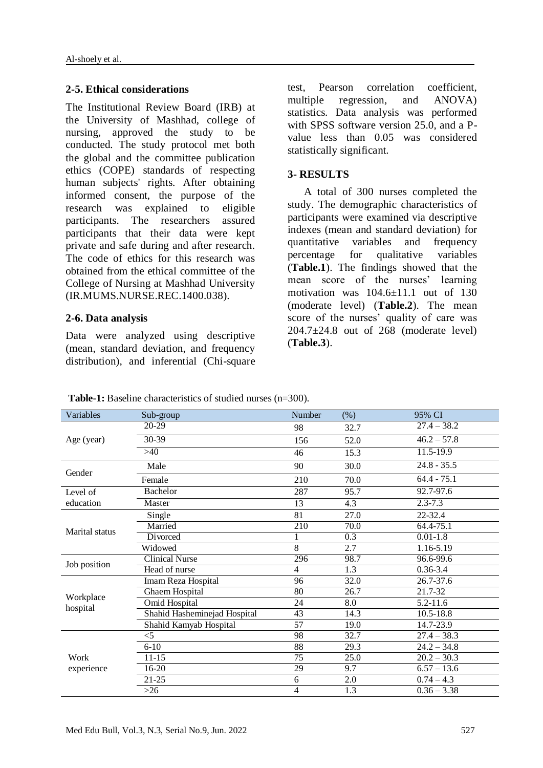#### **2-5. Ethical considerations**

The Institutional Review Board (IRB) at the University of Mashhad, college of nursing, approved the study to be conducted. The study protocol met both the global and the committee publication ethics (COPE) standards of respecting human subjects' rights. After obtaining informed consent, the purpose of the research was explained to eligible participants. The researchers assured participants that their data were kept private and safe during and after research. The code of ethics for this research was obtained from the ethical committee of the College of Nursing at Mashhad University (IR.MUMS.NURSE.REC.1400.038).

#### **2-6. Data analysis**

Data were analyzed using descriptive (mean, standard deviation, and frequency distribution), and inferential (Chi-square test, Pearson correlation coefficient, multiple regression, and ANOVA) statistics. Data analysis was performed with SPSS software version 25.0, and a Pvalue less than 0.05 was considered statistically significant.

#### **3- RESULTS**

 A total of 300 nurses completed the study. The demographic characteristics of participants were examined via descriptive indexes (mean and standard deviation) for quantitative variables and frequency percentage for qualitative variables (**Table.1**). The findings showed that the mean score of the nurses' learning motivation was 104.6±11.1 out of 130 (moderate level) (**Table.2**). The mean score of the nurses' quality of care was  $204.7\pm24.8$  out of 268 (moderate level) (**Table.3**).

| Variables          | Sub-group                    | Number                   | $(\%)$                                                                                                                                                                                                                                                                                                                                                                                                                                         | 95% CI        |
|--------------------|------------------------------|--------------------------|------------------------------------------------------------------------------------------------------------------------------------------------------------------------------------------------------------------------------------------------------------------------------------------------------------------------------------------------------------------------------------------------------------------------------------------------|---------------|
|                    | 20-29                        | 98                       | 32.7                                                                                                                                                                                                                                                                                                                                                                                                                                           | $27.4 - 38.2$ |
| Age (year)         | 30-39                        | 156                      | 52.0                                                                                                                                                                                                                                                                                                                                                                                                                                           | $46.2 - 57.8$ |
|                    | $>40$                        | 46                       | 11.5-19.9<br>15.3<br>$24.8 - 35.5$<br>30.0<br>$64.4 - 75.1$<br>70.0<br>92.7-97.6<br>95.7<br>$2.3 - 7.3$<br>4.3<br>27.0<br>22-32.4<br>70.0<br>64.4-75.1<br>$\overline{0.3}$<br>$0.01 - 1.8$<br>2.7<br>1.16-5.19<br>98.7<br>96.6-99.6<br>1.3<br>$0.36 - 3.4$<br>32.0<br>26.7-37.6<br>26.7<br>21.7-32<br>8.0<br>5.2-11.6<br>14.3<br>$10.5 - 18.8$<br>14.7-23.9<br>19.0<br>32.7<br>$27.4 - 38.3$<br>29.3<br>$24.2 - 34.8$<br>25.0<br>$20.2 - 30.3$ |               |
| Gender             | Male                         | 90                       |                                                                                                                                                                                                                                                                                                                                                                                                                                                |               |
|                    | Female                       | 210                      | 9.7                                                                                                                                                                                                                                                                                                                                                                                                                                            |               |
| Level of           | <b>Bachelor</b>              | 287                      |                                                                                                                                                                                                                                                                                                                                                                                                                                                |               |
| education          | Master                       | 13                       |                                                                                                                                                                                                                                                                                                                                                                                                                                                |               |
| Marital status     | Single                       | 81                       |                                                                                                                                                                                                                                                                                                                                                                                                                                                |               |
|                    | Married                      | 210                      |                                                                                                                                                                                                                                                                                                                                                                                                                                                |               |
|                    | Divorced                     | $\mathbf{1}$             |                                                                                                                                                                                                                                                                                                                                                                                                                                                |               |
|                    | Widowed                      | 8                        |                                                                                                                                                                                                                                                                                                                                                                                                                                                |               |
|                    | <b>Clinical Nurse</b>        | 296                      |                                                                                                                                                                                                                                                                                                                                                                                                                                                |               |
| Job position       | Head of nurse                | $\overline{\mathcal{L}}$ |                                                                                                                                                                                                                                                                                                                                                                                                                                                |               |
|                    | Imam Reza Hospital           | 96                       |                                                                                                                                                                                                                                                                                                                                                                                                                                                |               |
|                    | Ghaem Hospital               | 80                       |                                                                                                                                                                                                                                                                                                                                                                                                                                                |               |
| Workplace          | Omid Hospital                | 24                       |                                                                                                                                                                                                                                                                                                                                                                                                                                                |               |
| hospital           | Shahid Hasheminejad Hospital | 43                       |                                                                                                                                                                                                                                                                                                                                                                                                                                                |               |
|                    | Shahid Kamyab Hospital       | 57                       |                                                                                                                                                                                                                                                                                                                                                                                                                                                |               |
| Work<br>experience | $<$ 5                        | 98                       |                                                                                                                                                                                                                                                                                                                                                                                                                                                |               |
|                    | $6 - 10$                     | 88                       |                                                                                                                                                                                                                                                                                                                                                                                                                                                |               |
|                    | $11 - 15$                    | 75                       |                                                                                                                                                                                                                                                                                                                                                                                                                                                |               |
|                    | 16-20                        | 29                       |                                                                                                                                                                                                                                                                                                                                                                                                                                                | $6.57 - 13.6$ |
|                    | 21-25                        | 6                        | $2.0\,$                                                                                                                                                                                                                                                                                                                                                                                                                                        | $0.74 - 4.3$  |
|                    | $>26$                        | 4                        | 1.3                                                                                                                                                                                                                                                                                                                                                                                                                                            | $0.36 - 3.38$ |

**Table-1:** Baseline characteristics of studied nurses (n=300).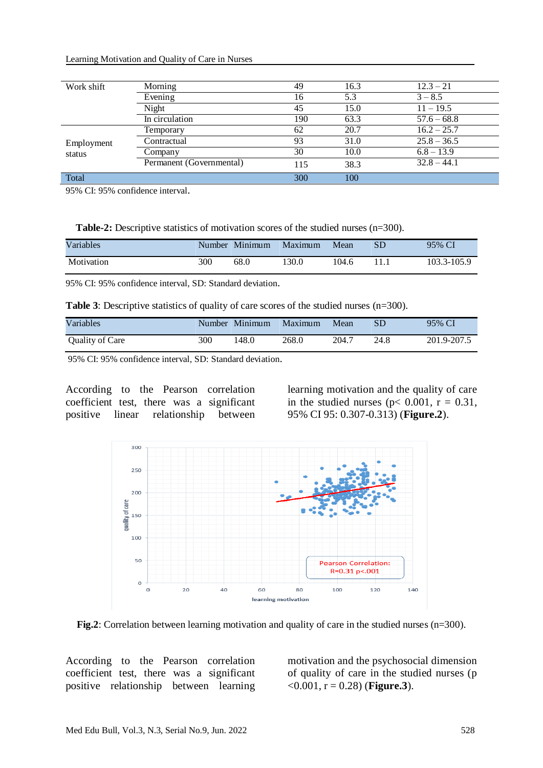|  | Learning Motivation and Quality of Care in Nurses |
|--|---------------------------------------------------|
|--|---------------------------------------------------|

| Work shift           | Morning                  | 49  | 16.3 | $12.3 - 21$   |
|----------------------|--------------------------|-----|------|---------------|
|                      | Evening                  | 16  | 5.3  | $3 - 8.5$     |
|                      | Night                    | 45  | 15.0 | $11 - 19.5$   |
|                      | In circulation           | 190 | 63.3 | $57.6 - 68.8$ |
| Employment<br>status | Temporary                | 62  | 20.7 | $16.2 - 25.7$ |
|                      | Contractual              | 93  | 31.0 | $25.8 - 36.5$ |
|                      | Company                  | 30  | 10.0 | $6.8 - 13.9$  |
|                      | Permanent (Governmental) | 115 | 38.3 | $32.8 - 44.1$ |
| Total                |                          | 300 | 100  |               |

95% CI: 95% confidence interval.

| Variables  | <b>Number</b> | Minimum | Maximum | Mean  | SD | 95% CI      |
|------------|---------------|---------|---------|-------|----|-------------|
| Motivation | 300           | 68.0    | 130.0   | 104.6 |    | 103.3-105.9 |

95% CI: 95% confidence interval, SD: Standard deviation.

**Table 3**: Descriptive statistics of quality of care scores of the studied nurses (n=300).

| Variables       | Number | Minimum | Maximum | Mean  | SD   | 95% CI      |
|-----------------|--------|---------|---------|-------|------|-------------|
| Quality of Care | 300    | 148.0   | 268.0   | 204.7 | 24.8 | 201.9-207.5 |

95% CI: 95% confidence interval, SD: Standard deviation.

According to the Pearson correlation coefficient test, there was a significant positive linear relationship between

learning motivation and the quality of care in the studied nurses ( $p$ < 0.001,  $r = 0.31$ , 95% CI 95: 0.307-0.313) (**Figure.2**).



**Fig.2**: Correlation between learning motivation and quality of care in the studied nurses (n=300).

According to the Pearson correlation coefficient test, there was a significant positive relationship between learning motivation and the psychosocial dimension of quality of care in the studied nurses (p  $(0.001, r = 0.28)$  (**Figure.3**).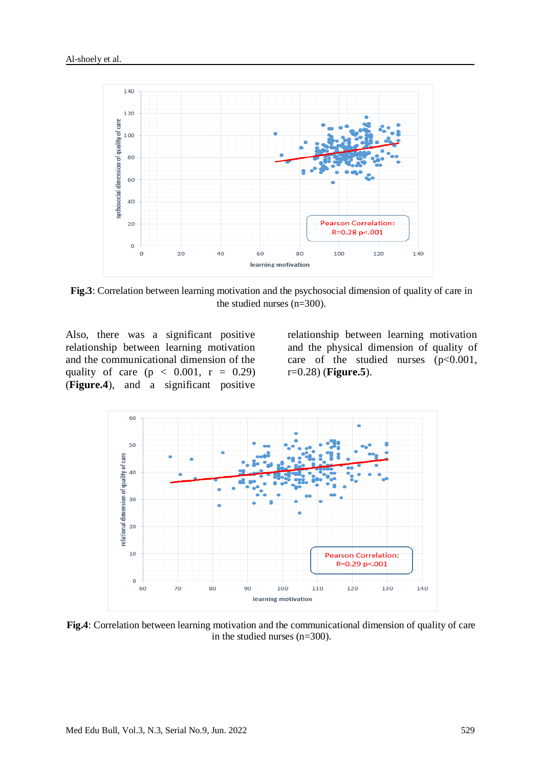

**Fig.3**: Correlation between learning motivation and the psychosocial dimension of quality of care in the studied nurses (n=300).

Also, there was a significant positive relationship between learning motivation and the communicational dimension of the quality of care ( $p < 0.001$ ,  $r = 0.29$ ) (**Figure.4**), and a significant positive

relationship between learning motivation and the physical dimension of quality of care of the studied nurses  $(p<0.001)$ , r=0.28) (**Figure.5**).



**Fig.4**: Correlation between learning motivation and the communicational dimension of quality of care in the studied nurses (n=300).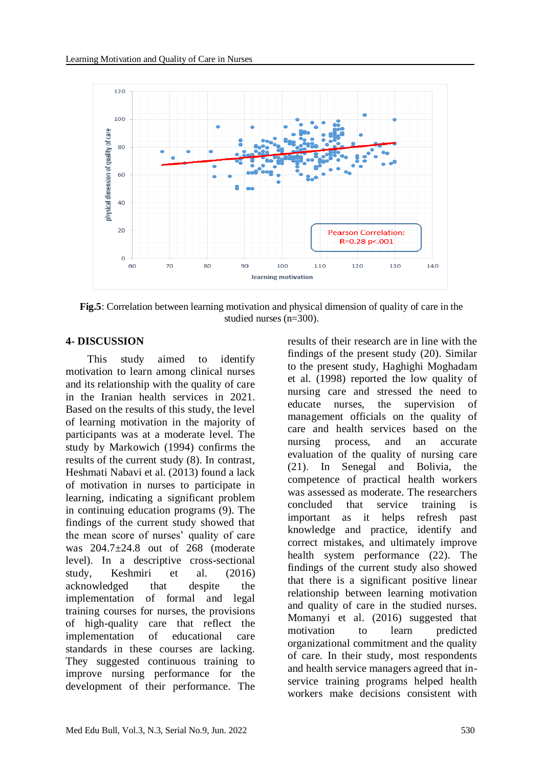

**Fig.5**: Correlation between learning motivation and physical dimension of quality of care in the studied nurses (n=300).

#### **4- DISCUSSION**

 This study aimed to identify motivation to learn among clinical nurses and its relationship with the quality of care in the Iranian health services in 2021. Based on the results of this study, the level of learning motivation in the majority of participants was at a moderate level. The study by Markowich (1994) confirms the results of the current study (8). In contrast, Heshmati Nabavi et al. (2013) found a lack of motivation in nurses to participate in learning, indicating a significant problem in continuing education programs (9). The findings of the current study showed that the mean score of nurses' quality of care was 204.7±24.8 out of 268 (moderate level). In a descriptive cross-sectional study, Keshmiri et al. (2016) acknowledged that despite the implementation of formal and legal training courses for nurses, the provisions of high-quality care that reflect the implementation of educational care standards in these courses are lacking. They suggested continuous training to improve nursing performance for the development of their performance. The results of their research are in line with the findings of the present study (20). Similar to the present study, Haghighi Moghadam et al. (1998) reported the low quality of nursing care and stressed the need to educate nurses, the supervision of management officials on the quality of care and health services based on the nursing process, and an accurate evaluation of the quality of nursing care (21). In Senegal and Bolivia, the competence of practical health workers was assessed as moderate. The researchers concluded that service training is important as it helps refresh past knowledge and practice, identify and correct mistakes, and ultimately improve health system performance (22). The findings of the current study also showed that there is a significant positive linear relationship between learning motivation and quality of care in the studied nurses. Momanyi et al. (2016) suggested that motivation to learn predicted organizational commitment and the quality of care. In their study, most respondents and health service managers agreed that inservice training programs helped health workers make decisions consistent with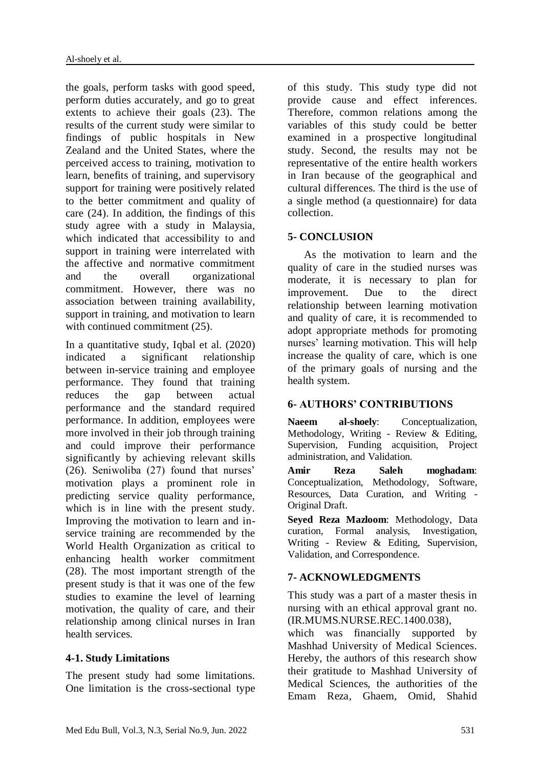the goals, perform tasks with good speed, perform duties accurately, and go to great extents to achieve their goals (23). The results of the current study were similar to findings of public hospitals in New Zealand and the United States, where the perceived access to training, motivation to learn, benefits of training, and supervisory support for training were positively related to the better commitment and quality of care (24). In addition, the findings of this study agree with a study in Malaysia, which indicated that accessibility to and support in training were interrelated with the affective and normative commitment and the overall organizational commitment. However, there was no association between training availability, support in training, and motivation to learn with continued commitment  $(25)$ .

In a quantitative study, Iqbal et al. (2020) indicated a significant relationship between in-service training and employee performance. They found that training reduces the gap between actual performance and the standard required performance. In addition, employees were more involved in their job through training and could improve their performance significantly by achieving relevant skills (26). Seniwoliba (27) found that nurses' motivation plays a prominent role in predicting service quality performance, which is in line with the present study. Improving the motivation to learn and inservice training are recommended by the World Health Organization as critical to enhancing health worker commitment (28). The most important strength of the present study is that it was one of the few studies to examine the level of learning motivation, the quality of care, and their relationship among clinical nurses in Iran health services.

# **4-1. Study Limitations**

The present study had some limitations. One limitation is the cross-sectional type of this study. This study type did not provide cause and effect inferences. Therefore, common relations among the variables of this study could be better examined in a prospective longitudinal study. Second, the results may not be representative of the entire health workers in Iran because of the geographical and cultural differences. The third is the use of a single method (a questionnaire) for data collection.

# **5- CONCLUSION**

 As the motivation to learn and the quality of care in the studied nurses was moderate, it is necessary to plan for improvement. Due to the direct relationship between learning motivation and quality of care, it is recommended to adopt appropriate methods for promoting nurses' learning motivation. This will help increase the quality of care, which is one of the primary goals of nursing and the health system.

# **6- AUTHORS' CONTRIBUTIONS**

**Naeem al-shoely**: Conceptualization, Methodology, Writing - Review & Editing, Supervision, Funding acquisition, Project administration, and Validation.

**Amir Reza Saleh moghadam**: Conceptualization, Methodology, Software, Resources, Data Curation, and Writing - Original Draft.

**Seyed Reza Mazloom**: Methodology, Data curation, Formal analysis, Investigation, Writing - Review & Editing, Supervision, Validation, and Correspondence.

# **7- ACKNOWLEDGMENTS**

This study was a part of a master thesis in nursing with an ethical approval grant no. (IR.MUMS.NURSE.REC.1400.038),

which was financially supported by Mashhad University of Medical Sciences. Hereby, the authors of this research show their gratitude to Mashhad University of Medical Sciences, the authorities of the Emam Reza, Ghaem, Omid, Shahid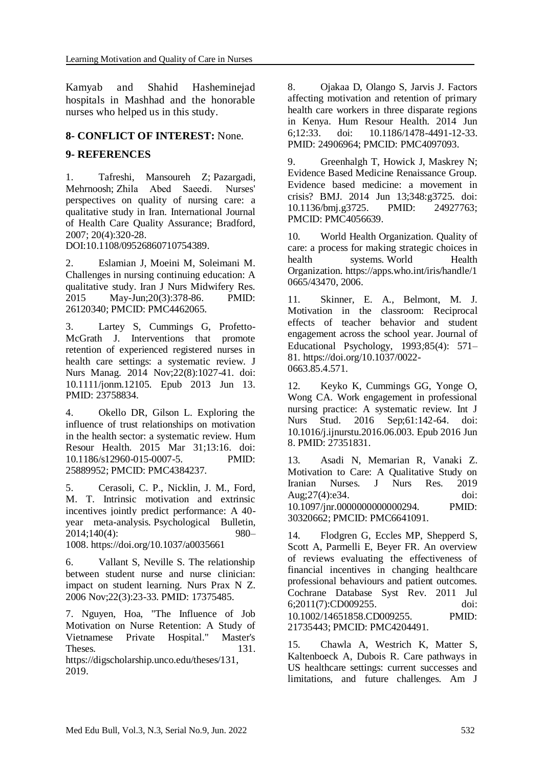Kamyab and Shahid Hasheminejad hospitals in Mashhad and the honorable nurses who helped us in this study.

# **8- CONFLICT OF INTEREST:** None.

# **9- REFERENCES**

1. Tafreshi, Mansoureh Z; Pazargadi, Mehrnoosh; Zhila Abed Saeedi.  Nurses' perspectives on quality of nursing care: a qualitative study in Iran. International Journal of Health Care Quality Assurance; Bradford, 2007; 20(4):320-28.

DOI:10.1108/09526860710754389.

2. Eslamian J, Moeini M, Soleimani M. Challenges in nursing continuing education: A qualitative study. Iran J Nurs Midwifery Res. 2015 May-Jun;20(3):378-86. PMID: 26120340; PMCID: PMC4462065.

3. Lartey S, Cummings G, Profetto-McGrath J. Interventions that promote retention of experienced registered nurses in health care settings: a systematic review. J Nurs Manag. 2014 Nov;22(8):1027-41. doi: 10.1111/jonm.12105. Epub 2013 Jun 13. PMID: 23758834.

4. Okello DR, Gilson L. Exploring the influence of trust relationships on motivation in the health sector: a systematic review. Hum Resour Health. 2015 Mar 31;13:16. doi: 10.1186/s12960-015-0007-5. PMID: 25889952; PMCID: PMC4384237.

5. Cerasoli, C. P., Nicklin, J. M., Ford, M. T. Intrinsic motivation and extrinsic incentives jointly predict performance: A 40 year meta-analysis. Psychological Bulletin*,*  2014;140(4): 980– 1008. [https://doi.org/10.1037/a0035661](https://psycnet.apa.org/doi/10.1037/a0035661)

6. Vallant S, Neville S. The relationship between student nurse and nurse clinician: impact on student learning. Nurs Prax N Z.

2006 Nov;22(3):23-33. PMID: 17375485.

7. Nguyen, Hoa, "The Influence of Job Motivation on Nurse Retention: A Study of Vietnamese Private Hospital." Master's Theses. 131.

https://digscholarship.unco.edu/theses/131, 2019.

8. Ojakaa D, Olango S, Jarvis J. Factors affecting motivation and retention of primary health care workers in three disparate regions in Kenya. Hum Resour Health. 2014 Jun 6;12:33. doi: 10.1186/1478-4491-12-33. PMID: 24906964; PMCID: PMC4097093.

9. Greenhalgh T, Howick J, Maskrey N; Evidence Based Medicine Renaissance Group. Evidence based medicine: a movement in crisis? BMJ. 2014 Jun 13;348:g3725. doi: 10.1136/bmj.g3725. PMID: 24927763; PMCID: PMC4056639.

10. World Health Organization. Quality of care: a process for making strategic choices in health systems. World Health Organization. [https://apps.who.int/iris/handle/1](https://apps.who.int/iris/handle/10665/43470) [0665/43470,](https://apps.who.int/iris/handle/10665/43470) 2006.

11. Skinner, E. A., Belmont, M. J. Motivation in the classroom: Reciprocal effects of teacher behavior and student engagement across the school year. Journal of Educational Psychology, 1993*;*85(4): 571– 81. [https://doi.org/10.1037/0022-](https://psycnet.apa.org/doi/10.1037/0022-0663.85.4.571) [0663.85.4.571.](https://psycnet.apa.org/doi/10.1037/0022-0663.85.4.571)

12. Keyko K, Cummings GG, Yonge O, Wong CA. Work engagement in professional nursing practice: A systematic review. Int J Nurs Stud. 2016 Sep;61:142-64. doi: 10.1016/j.ijnurstu.2016.06.003. Epub 2016 Jun 8. PMID: 27351831.

13. Asadi N, Memarian R, Vanaki Z. Motivation to Care: A Qualitative Study on Iranian Nurses. J Nurs Res. 2019 Aug;27(4):e34. doi: 10.1097/jnr.0000000000000294. PMID: 30320662; PMCID: PMC6641091.

14. Flodgren G, Eccles MP, Shepperd S, Scott A, Parmelli E, Beyer FR. An overview of reviews evaluating the effectiveness of financial incentives in changing healthcare professional behaviours and patient outcomes. Cochrane Database Syst Rev. 2011 Jul 6;2011(7):CD009255. doi: 10.1002/14651858.CD009255. PMID: 21735443; PMCID: PMC4204491.

15. Chawla A, Westrich K, Matter S, Kaltenboeck A, Dubois R. Care pathways in US healthcare settings: current successes and limitations, and future challenges. Am J